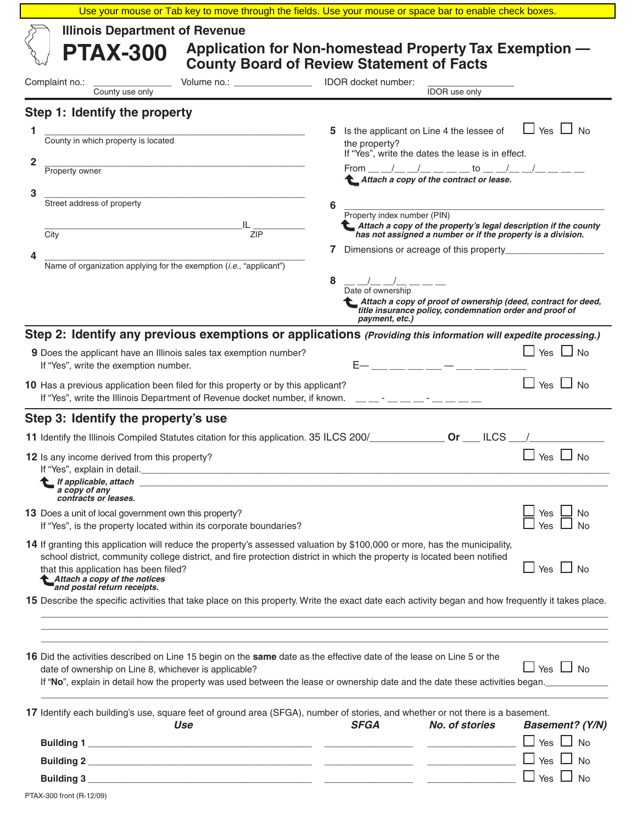|                                                                                                                                                                                                                                                                                                                                                               | Use your mouse or Tab key to move through the fields. Use your mouse or space bar to enable check boxes.                                                                                                                                                                                                                                                                                                                                                                                                                                                                                                                      |  |
|---------------------------------------------------------------------------------------------------------------------------------------------------------------------------------------------------------------------------------------------------------------------------------------------------------------------------------------------------------------|-------------------------------------------------------------------------------------------------------------------------------------------------------------------------------------------------------------------------------------------------------------------------------------------------------------------------------------------------------------------------------------------------------------------------------------------------------------------------------------------------------------------------------------------------------------------------------------------------------------------------------|--|
| <b>Illinois Department of Revenue</b><br><b>PTAX-300</b>                                                                                                                                                                                                                                                                                                      | Application for Non-homestead Property Tax Exemption -<br><b>County Board of Review Statement of Facts</b>                                                                                                                                                                                                                                                                                                                                                                                                                                                                                                                    |  |
| Volume no.: _____________________ IDOR docket number:<br>Complaint no.: County use only                                                                                                                                                                                                                                                                       | <b>IDOR</b> use only                                                                                                                                                                                                                                                                                                                                                                                                                                                                                                                                                                                                          |  |
| Step 1: Identify the property                                                                                                                                                                                                                                                                                                                                 |                                                                                                                                                                                                                                                                                                                                                                                                                                                                                                                                                                                                                               |  |
| County in which property is located<br>1<br>2<br><b>Property owner</b><br>3<br>Street address of property<br>$\frac{1}{2}$ $\frac{1}{2}$<br><u> 2008 - Jan James James James James James James James James James James James James James James James James J</u><br>City<br>Name of organization applying for the exemption (i.e., "applicant")               | $\Box$ Yes $\Box$ No<br>Is the applicant on Line 4 the lessee of<br>5.<br>the property?<br>If "Yes", write the dates the lease is in effect.<br>From __ _/__ _/__ __ __ _to __ _/__ _/__ __ __<br>Attach a copy of the contract or lease.<br>6<br>Property index number (PIN)<br>Attach a copy of the property's legal description if the county<br>has not assigned a number or if the property is a division.<br>8<br>$\frac{1}{\text{Date of ownership}}$ $\frac{1}{\text{Date of ownership}}$<br>Attach a copy of proof of ownership (deed, contract for deed,<br>title insurance policy, condemnation order and proof of |  |
| Step 2: Identify any previous exemptions or applications (Providing this information will expedite processing.)                                                                                                                                                                                                                                               | payment, etc.)                                                                                                                                                                                                                                                                                                                                                                                                                                                                                                                                                                                                                |  |
| 9 Does the applicant have an Illinois sales tax exemption number?<br>If "Yes", write the exemption number.                                                                                                                                                                                                                                                    | $\Box$ Yes $\Box$ No<br>$E - 1$ , and $E - 1$ , and $E - 1$ , and $E - 1$ , and $E - 1$                                                                                                                                                                                                                                                                                                                                                                                                                                                                                                                                       |  |
| 10 Has a previous application been filed for this property or by this applicant?<br>If "Yes", write the Illinois Department of Revenue docket number, if known. ____-____-__-                                                                                                                                                                                 | $\Box$ Yes $\Box$ No                                                                                                                                                                                                                                                                                                                                                                                                                                                                                                                                                                                                          |  |
| Step 3: Identify the property's use                                                                                                                                                                                                                                                                                                                           |                                                                                                                                                                                                                                                                                                                                                                                                                                                                                                                                                                                                                               |  |
|                                                                                                                                                                                                                                                                                                                                                               |                                                                                                                                                                                                                                                                                                                                                                                                                                                                                                                                                                                                                               |  |
| 12 Is any income derived from this property?<br>If "Yes", explain in detail.<br>If applicable, attach experience of the state of the state of the state of the state of the state of the state of the state of the state of the state of the state of the state of the state of the state of the state of the<br>a copy of any<br>contracts or leases.        | $\Box$ Yes $\Box$ No                                                                                                                                                                                                                                                                                                                                                                                                                                                                                                                                                                                                          |  |
| 13 Does a unit of local government own this property?<br>If "Yes", is the property located within its corporate boundaries?                                                                                                                                                                                                                                   | Yes<br>No<br>Yes                                                                                                                                                                                                                                                                                                                                                                                                                                                                                                                                                                                                              |  |
| 14 If granting this application will reduce the property's assessed valuation by \$100,000 or more, has the municipality,<br>school district, community college district, and fire protection district in which the property is located been notified<br>that this application has been filed?<br>Attach a copy of the notices<br>and postal return receipts. | $\Box$ Yes $\Box$ No                                                                                                                                                                                                                                                                                                                                                                                                                                                                                                                                                                                                          |  |
| 15 Describe the specific activities that take place on this property. Write the exact date each activity began and how frequently it takes place.                                                                                                                                                                                                             |                                                                                                                                                                                                                                                                                                                                                                                                                                                                                                                                                                                                                               |  |
| 16 Did the activities described on Line 15 begin on the same date as the effective date of the lease on Line 5 or the<br>date of ownership on Line 8, whichever is applicable?                                                                                                                                                                                | $\Box$ Yes $\Box$ No<br>If "No", explain in detail how the property was used between the lease or ownership date and the date these activities began.                                                                                                                                                                                                                                                                                                                                                                                                                                                                         |  |
| 17 Identify each building's use, square feet of ground area (SFGA), number of stories, and whether or not there is a basement.<br>Use                                                                                                                                                                                                                         | <b>SFGA</b><br>No. of stories<br><b>Basement? (Y/N)</b>                                                                                                                                                                                                                                                                                                                                                                                                                                                                                                                                                                       |  |
|                                                                                                                                                                                                                                                                                                                                                               | $\Box$ Yes $\Box$ No                                                                                                                                                                                                                                                                                                                                                                                                                                                                                                                                                                                                          |  |
|                                                                                                                                                                                                                                                                                                                                                               | Yes<br><b>No</b>                                                                                                                                                                                                                                                                                                                                                                                                                                                                                                                                                                                                              |  |
|                                                                                                                                                                                                                                                                                                                                                               | $\mathbf{L}$<br>Yes $\Box$<br><b>No</b>                                                                                                                                                                                                                                                                                                                                                                                                                                                                                                                                                                                       |  |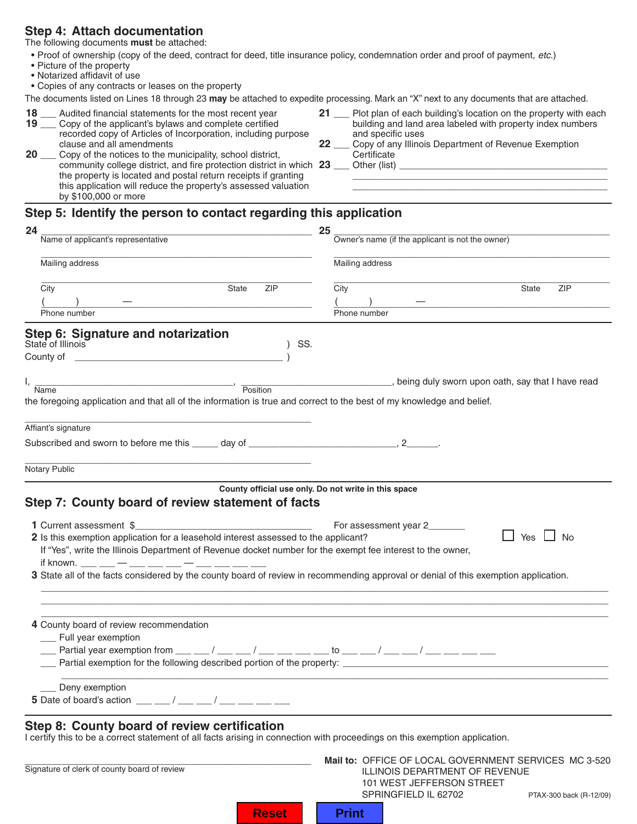# **Step 4: Attach documentation**

The following documents **must** be attached:

- Proof of ownership (copy of the deed, contract for deed, title insurance policy, condemnation order and proof of payment, *etc.*)
- Picture of the property
- Notarized affidavit of use

• Copies of any contracts or leases on the property

The documents listed on Lines 18 through 23 **may** be attached to expedite processing. Mark an "X" next to any documents that are attached.

- **19** \_\_\_ Copy of the applicant's bylaws and complete certified building and land area labeled with property index numbers recorded copy of Articles of Incorporation, including purpose and specific uses recorded copy of Articles of Incorporation, including purpose<br>clause and all amendments 22
- **2000** Copy of the notices to the municipality, school district, community college district, and fire protection district in which **23** \_\_\_\_\_ Other (list) \_ the property is located and postal return receipts if granting this application will reduce the property's assessed valuation by \$100,000 or more
- **18** Audited financial statements for the most recent year **21** Plot plan of each building's location on the property with each
- clause and all amendments **22** \_\_\_ Copy of any Illinois Department of Revenue Exemption<br>**20** \_\_\_ Copy of the notices to the municipality, school district, **22** \_\_\_ Certificate
	-

# **Step 5: Identify the person to contact regarding this application**

| 24                                                                                                                                                                                                                                                                                                            | 25                                                              |
|---------------------------------------------------------------------------------------------------------------------------------------------------------------------------------------------------------------------------------------------------------------------------------------------------------------|-----------------------------------------------------------------|
| Name of applicant's representative                                                                                                                                                                                                                                                                            | Owner's name (if the applicant is not the owner)                |
| Mailing address                                                                                                                                                                                                                                                                                               | Mailing address                                                 |
| City<br><b>ZIP</b><br>State                                                                                                                                                                                                                                                                                   | City<br><b>ZIP</b><br>State                                     |
| <u> 1989 - Johann Barbara, martin a</u>                                                                                                                                                                                                                                                                       |                                                                 |
| Phone number                                                                                                                                                                                                                                                                                                  | Phone number                                                    |
| Step 6: Signature and notarization<br>State of Illinois<br>SS.                                                                                                                                                                                                                                                |                                                                 |
|                                                                                                                                                                                                                                                                                                               |                                                                 |
|                                                                                                                                                                                                                                                                                                               |                                                                 |
| $\overline{\phantom{a}}$ , $\overline{\phantom{a}}$ Position                                                                                                                                                                                                                                                  | _____________, being duly sworn upon oath, say that I have read |
| <b>Name</b><br>the foregoing application and that all of the information is true and correct to the best of my knowledge and belief.                                                                                                                                                                          |                                                                 |
|                                                                                                                                                                                                                                                                                                               |                                                                 |
| Affiant's signature                                                                                                                                                                                                                                                                                           |                                                                 |
|                                                                                                                                                                                                                                                                                                               |                                                                 |
|                                                                                                                                                                                                                                                                                                               |                                                                 |
| Notary Public                                                                                                                                                                                                                                                                                                 |                                                                 |
|                                                                                                                                                                                                                                                                                                               |                                                                 |
|                                                                                                                                                                                                                                                                                                               | County official use only. Do not write in this space            |
| Step 7: County board of review statement of facts                                                                                                                                                                                                                                                             |                                                                 |
|                                                                                                                                                                                                                                                                                                               | For assessment year 2_____                                      |
| 2 Is this exemption application for a leasehold interest assessed to the applicant?                                                                                                                                                                                                                           | Yes<br>$\Box$ No                                                |
| If "Yes", write the Illinois Department of Revenue docket number for the exempt fee interest to the owner,                                                                                                                                                                                                    |                                                                 |
|                                                                                                                                                                                                                                                                                                               |                                                                 |
| 3 State all of the facts considered by the county board of review in recommending approval or denial of this exemption application.                                                                                                                                                                           |                                                                 |
|                                                                                                                                                                                                                                                                                                               |                                                                 |
|                                                                                                                                                                                                                                                                                                               |                                                                 |
|                                                                                                                                                                                                                                                                                                               |                                                                 |
| 4 County board of review recommendation                                                                                                                                                                                                                                                                       |                                                                 |
| __ Full year exemption                                                                                                                                                                                                                                                                                        |                                                                 |
| $\frac{1}{1}$ Partial year exemption from $\frac{1}{1}$ $\frac{1}{1}$ $\frac{1}{1}$ $\frac{1}{1}$ $\frac{1}{1}$ $\frac{1}{1}$ $\frac{1}{1}$ $\frac{1}{1}$ $\frac{1}{1}$ $\frac{1}{1}$ $\frac{1}{1}$ $\frac{1}{1}$ $\frac{1}{1}$ $\frac{1}{1}$ $\frac{1}{1}$ $\frac{1}{1}$ $\frac{1}{1}$ $\frac{1}{1}$ $\frac$ |                                                                 |
| Partial exemption for the following described portion of the property:                                                                                                                                                                                                                                        |                                                                 |
|                                                                                                                                                                                                                                                                                                               |                                                                 |
| Deny exemption<br>5 Date of board's action ___ __/ __ __ / ___ __ / ___ __ __ __                                                                                                                                                                                                                              |                                                                 |
|                                                                                                                                                                                                                                                                                                               |                                                                 |
|                                                                                                                                                                                                                                                                                                               |                                                                 |
| Step 8: County board of review certification<br>I certify this to be a correct statement of all facts arising in connection with proceedings on this exemption application.                                                                                                                                   |                                                                 |
|                                                                                                                                                                                                                                                                                                               |                                                                 |
|                                                                                                                                                                                                                                                                                                               | Mail to: OFFICE OF LOCAL GOVERNMENT SERVICES MC 3-520           |

PTAX-300 back (R-12/09) \_\_\_\_\_\_\_\_\_\_\_\_\_\_\_\_\_\_\_\_\_\_\_\_\_\_\_\_\_\_\_\_\_\_\_\_\_\_\_\_\_\_\_\_\_\_\_\_\_\_\_\_\_\_\_ **Mail to:** OFFICE OF LOCAL GOVERNMENT SERVICES MC 3-520 Signature of clerk of county board of review **ILLINOIS DEPARTMENT OF REVENUE**  101 WEST JEFFERSON STREET SPRINGFIELD IL 62702

| Reset |  | <b>Print</b> |
|-------|--|--------------|
|-------|--|--------------|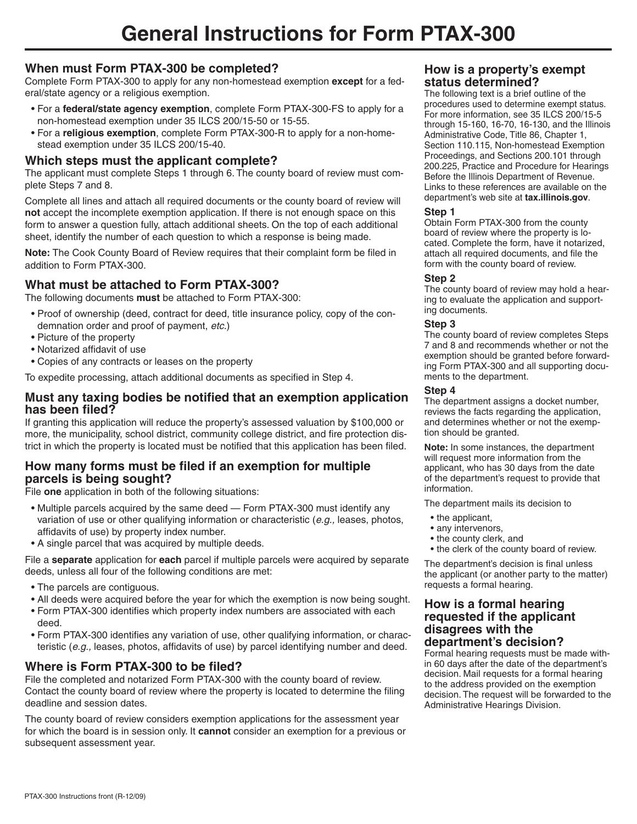# **When must Form PTAX-300 be completed?**

Complete Form PTAX-300 to apply for any non-homestead exemption **except** for a federal/state agency or a religious exemption.

- For a **federal/state agency exemption**, complete Form PTAX-300-FS to apply for a non-homestead exemption under 35 ILCS 200/15-50 or 15-55.
- For a **religious exemption**, complete Form PTAX-300-R to apply for a non-homestead exemption under 35 ILCS 200/15-40.

## **Which steps must the applicant complete?**

The applicant must complete Steps 1 through 6. The county board of review must complete Steps 7 and 8.

Complete all lines and attach all required documents or the county board of review will **not** accept the incomplete exemption application. If there is not enough space on this form to answer a question fully, attach additional sheets. On the top of each additional sheet, identify the number of each question to which a response is being made.

**Note:** The Cook County Board of Review requires that their complaint form be filed in addition to Form PTAX-300.

# **What must be attached to Form PTAX-300?**

The following documents **must** be attached to Form PTAX-300:

- Proof of ownership (deed, contract for deed, title insurance policy, copy of the condemnation order and proof of payment, *etc.*)
- Picture of the property
- Notarized affidavit of use
- Copies of any contracts or leases on the property

To expedite processing, attach additional documents as specified in Step 4.

### **Must any taxing bodies be notified that an exemption application has been filed?**

If granting this application will reduce the property's assessed valuation by \$100,000 or more, the municipality, school district, community college district, and fire protection district in which the property is located must be notified that this application has been filed.

## **How many forms must be filed if an exemption for multiple parcels is being sought?**

File **one** application in both of the following situations:

- Multiple parcels acquired by the same deed Form PTAX-300 must identify any variation of use or other qualifying information or characteristic (*e.g.,* leases, photos, affidavits of use) by property index number.
- A single parcel that was acquired by multiple deeds.

File a **separate** application for **each** parcel if multiple parcels were acquired by separate deeds, unless all four of the following conditions are met:

- The parcels are contiguous.
- All deeds were acquired before the year for which the exemption is now being sought.
- Form PTAX-300 identifies which property index numbers are associated with each deed.
- Form PTAX-300 identifies any variation of use, other qualifying information, or characteristic (*e.g.,* leases, photos, affidavits of use) by parcel identifying number and deed.

# **Where is Form PTAX-300 to be filed?**

File the completed and notarized Form PTAX-300 with the county board of review. Contact the county board of review where the property is located to determine the filing deadline and session dates.

The county board of review considers exemption applications for the assessment year for which the board is in session only. It **cannot** consider an exemption for a previous or subsequent assessment year.

### **How is a property's exempt status determined?**

The following text is a brief outline of the procedures used to determine exempt status. For more information, see 35 ILCS 200/15-5 through 15-160, 16-70, 16-130, and the Illinois Administrative Code, Title 86, Chapter 1, Section 110.115, Non-homestead Exemption Proceedings, and Sections 200.101 through 200.225, Practice and Procedure for Hearings Before the Illinois Department of Revenue. Links to these references are available on the department's web site at **tax.illinois.gov**.

#### **Step 1**

Obtain Form PTAX-300 from the county board of review where the property is located. Complete the form, have it notarized, attach all required documents, and file the form with the county board of review.

#### **Step 2**

The county board of review may hold a hearing to evaluate the application and supporting documents.

#### **Step 3**

The county board of review completes Steps 7 and 8 and recommends whether or not the exemption should be granted before forwarding Form PTAX-300 and all supporting documents to the department.

#### **Step 4**

The department assigns a docket number, reviews the facts regarding the application, and determines whether or not the exemption should be granted.

**Note:** In some instances, the department will request more information from the applicant, who has 30 days from the date of the department's request to provide that information.

The department mails its decision to

- the applicant,
- any intervenors,
- the county clerk, and
- the clerk of the county board of review.

The department's decision is final unless the applicant (or another party to the matter) requests a formal hearing.

#### **How is a formal hearing requested if the applicant disagrees with the department's decision?**

Formal hearing requests must be made within 60 days after the date of the department's decision. Mail requests for a formal hearing to the address provided on the exemption decision. The request will be forwarded to the Administrative Hearings Division.